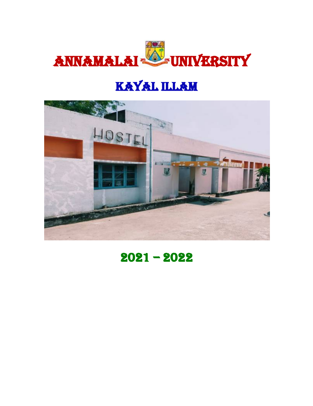

## KAYAL ILLAM



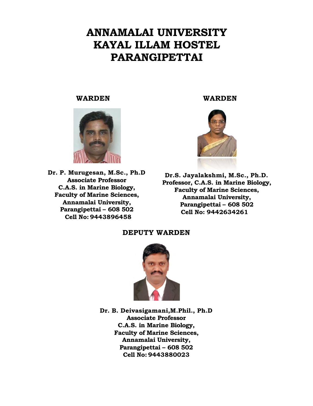#### **ANNAMALAI UNIVERSITY KAYAL ILLAM HOSTEL PARANGIPETTAI**

#### **WARDEN WARDEN**



**Dr. P. Murugesan, M.Sc., Ph.D Associate Professor C.A.S. in Marine Biology, Faculty of Marine Sciences, Annamalai University, Parangipettai – 608 502 Cell No: 9443896458**



**Dr.S. Jayalakshmi, M.Sc., Ph.D. Professor, C.A.S. in Marine Biology, Faculty of Marine Sciences, Annamalai University, Parangipettai – 608 502 Cell No: 9442634261**

**DEPUTY WARDEN** 



**Dr. B. Deivasigamani,M.Phil., Ph.D Associate Professor C.A.S. in Marine Biology, Faculty of Marine Sciences, Annamalai University, Parangipettai – 608 502 Cell No: 9443880023**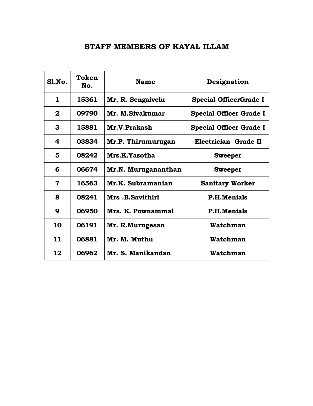#### **STAFF MEMBERS OF KAYAL ILLAM**

| S1.No.       | Token<br>No. | <b>Name</b>            | Designation                    |
|--------------|--------------|------------------------|--------------------------------|
| $\mathbf{1}$ | 15361        | Mr. R. Sengaivelu      | <b>Special OfficerGrade I</b>  |
| $\mathbf{2}$ | 09790        | Mr. M.Sivakumar        | <b>Special Officer Grade I</b> |
| 3            | 15881        | Mr.V.Prakash           | <b>Special Officer Grade I</b> |
| 4            | 03834        | Mr.P. Thirumurugan     | Electrician Grade II           |
| 5            | 08242        | Mrs.K.Yasotha          | <b>Sweeper</b>                 |
| 6            | 06674        | Mr.N. Murugananthan    | <b>Sweeper</b>                 |
| 7            | 16563        | Mr.K. Subramanian      | <b>Sanitary Worker</b>         |
| 8            | 08241        | <b>Mrs.B.Savithiri</b> | <b>P.H.Menials</b>             |
| 9            | 06950        | Mrs. K. Pownammal      | <b>P.H.Menials</b>             |
| 10           | 06191        | Mr. R.Murugesan        | Watchman                       |
| 11           | 06881        | Mr. M. Muthu           | Watchman                       |
| 12           | 06962        | Mr. S. Manikandan      | Watchman                       |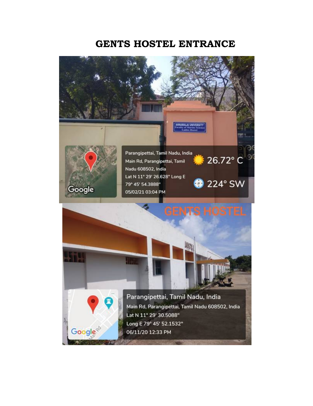#### **GENTS HOSTEL ENTRANCE**

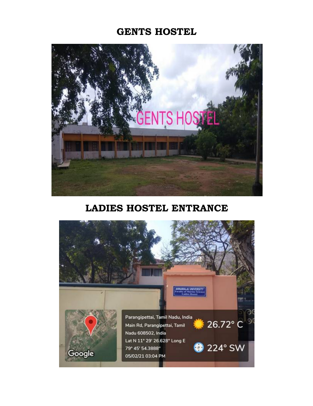#### **GENTS HOSTEL**



#### **LADIES HOSTEL ENTRANCE**

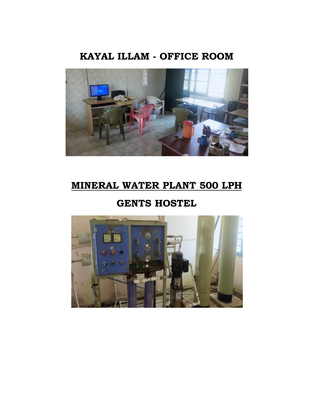#### **KAYAL ILLAM - OFFICE ROOM**



#### **MINERAL WATER PLANT 500 LPH**

#### **GENTS HOSTEL**

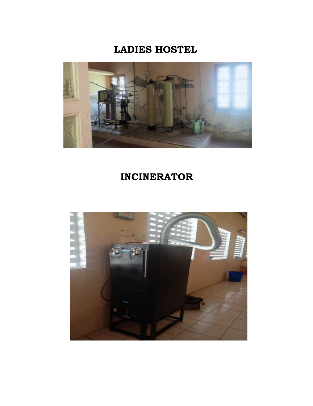#### **LADIES HOSTEL**



#### **INCINERATOR**

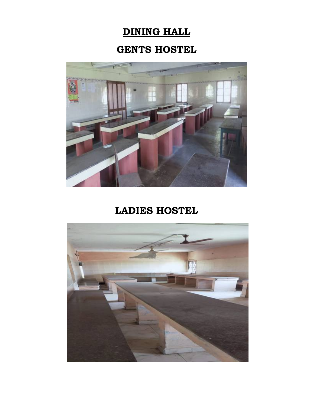### **DINING HALL**

#### **GENTS HOSTEL**



#### **LADIES HOSTEL**

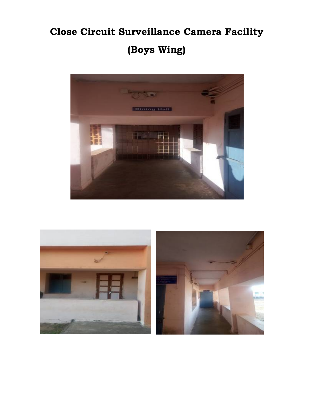# **Close Circuit Surveillance Camera Facility**

## **(Boys Wing)**